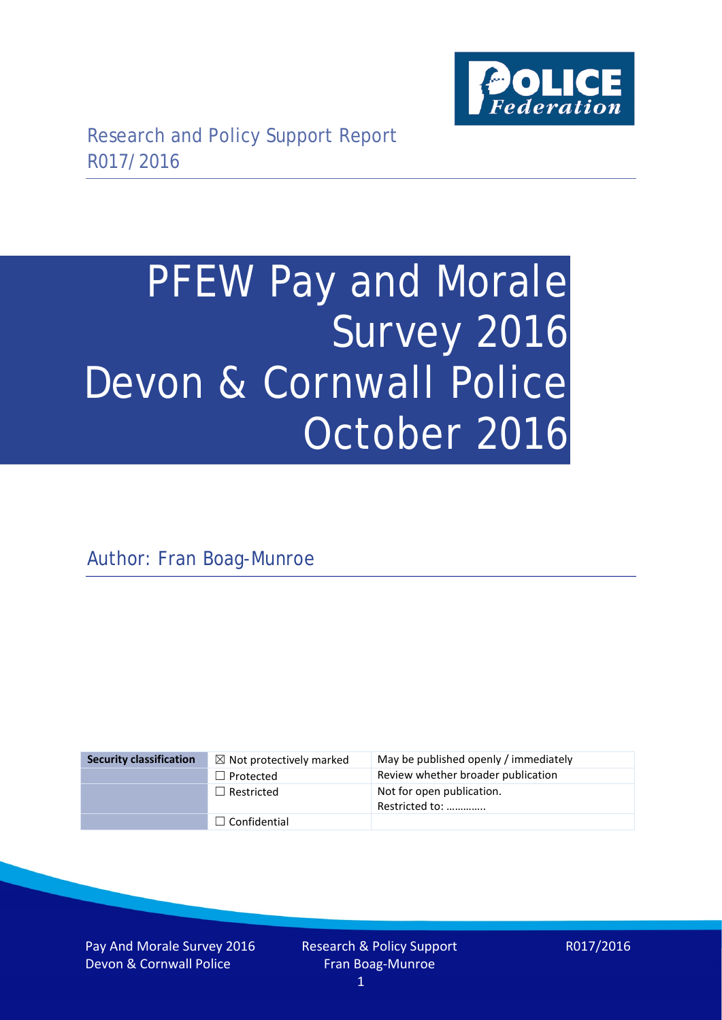

# PFEW Pay and Morale Survey 2016 Devon & Cornwall Police October 2016

Author: Fran Boag-Munroe

| <b>Security classification</b> | $\boxtimes$ Not protectively marked | May be published openly / immediately       |
|--------------------------------|-------------------------------------|---------------------------------------------|
|                                | $\Box$ Protected                    | Review whether broader publication          |
|                                | $\Box$ Restricted                   | Not for open publication.<br>Restricted to: |
|                                | $\Box$ Confidential                 |                                             |

Pay And Morale Survey 2016 Devon & Cornwall Police

R017/2016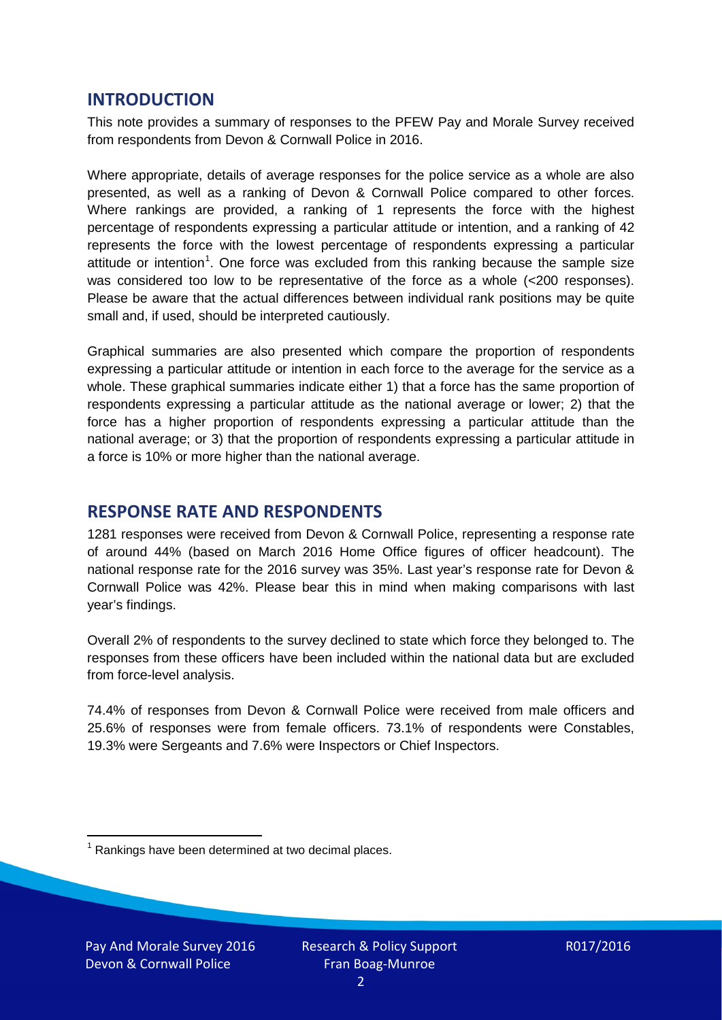## **INTRODUCTION**

This note provides a summary of responses to the PFEW Pay and Morale Survey received from respondents from Devon & Cornwall Police in 2016.

Where appropriate, details of average responses for the police service as a whole are also presented, as well as a ranking of Devon & Cornwall Police compared to other forces. Where rankings are provided, a ranking of 1 represents the force with the highest percentage of respondents expressing a particular attitude or intention, and a ranking of 42 represents the force with the lowest percentage of respondents expressing a particular attitude or intention<sup>[1](#page-1-0)</sup>. One force was excluded from this ranking because the sample size was considered too low to be representative of the force as a whole (<200 responses). Please be aware that the actual differences between individual rank positions may be quite small and, if used, should be interpreted cautiously.

Graphical summaries are also presented which compare the proportion of respondents expressing a particular attitude or intention in each force to the average for the service as a whole. These graphical summaries indicate either 1) that a force has the same proportion of respondents expressing a particular attitude as the national average or lower; 2) that the force has a higher proportion of respondents expressing a particular attitude than the national average; or 3) that the proportion of respondents expressing a particular attitude in a force is 10% or more higher than the national average.

## **RESPONSE RATE AND RESPONDENTS**

1281 responses were received from Devon & Cornwall Police, representing a response rate of around 44% (based on March 2016 Home Office figures of officer headcount). The national response rate for the 2016 survey was 35%. Last year's response rate for Devon & Cornwall Police was 42%. Please bear this in mind when making comparisons with last year's findings.

Overall 2% of respondents to the survey declined to state which force they belonged to. The responses from these officers have been included within the national data but are excluded from force-level analysis.

74.4% of responses from Devon & Cornwall Police were received from male officers and 25.6% of responses were from female officers. 73.1% of respondents were Constables, 19.3% were Sergeants and 7.6% were Inspectors or Chief Inspectors.

<span id="page-1-0"></span> $1$  Rankings have been determined at two decimal places.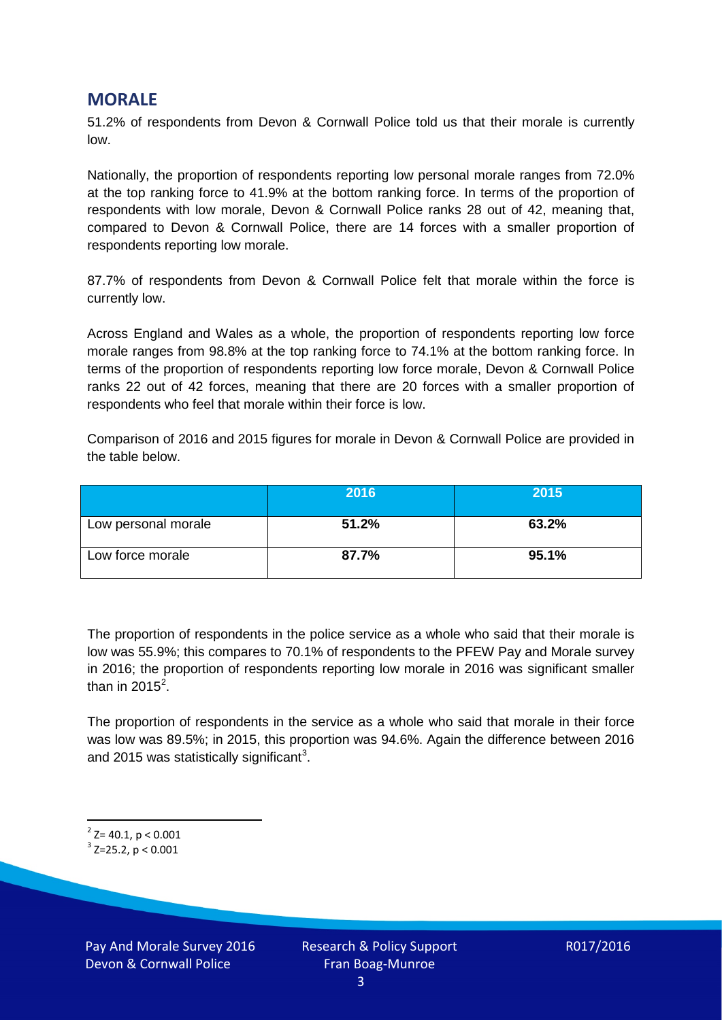## **MORALE**

51.2% of respondents from Devon & Cornwall Police told us that their morale is currently low.

Nationally, the proportion of respondents reporting low personal morale ranges from 72.0% at the top ranking force to 41.9% at the bottom ranking force. In terms of the proportion of respondents with low morale, Devon & Cornwall Police ranks 28 out of 42, meaning that, compared to Devon & Cornwall Police, there are 14 forces with a smaller proportion of respondents reporting low morale.

87.7% of respondents from Devon & Cornwall Police felt that morale within the force is currently low.

Across England and Wales as a whole, the proportion of respondents reporting low force morale ranges from 98.8% at the top ranking force to 74.1% at the bottom ranking force. In terms of the proportion of respondents reporting low force morale, Devon & Cornwall Police ranks 22 out of 42 forces, meaning that there are 20 forces with a smaller proportion of respondents who feel that morale within their force is low.

Comparison of 2016 and 2015 figures for morale in Devon & Cornwall Police are provided in the table below.

|                     | 2016  | 2015  |
|---------------------|-------|-------|
| Low personal morale | 51.2% | 63.2% |
| Low force morale    | 87.7% | 95.1% |

The proportion of respondents in the police service as a whole who said that their morale is low was 55.9%; this compares to 70.1% of respondents to the PFEW Pay and Morale survey in 2016; the proportion of respondents reporting low morale in 2016 was significant smaller than in [2](#page-2-0)015<sup>2</sup>.

The proportion of respondents in the service as a whole who said that morale in their force was low was 89.5%; in 2015, this proportion was 94.6%. Again the difference between 2016 and 2015 was statistically significant<sup>[3](#page-2-1)</sup>.

<span id="page-2-0"></span> $2$ <sup>2</sup> Z= 40.1, p < 0.001

<span id="page-2-1"></span> $3$  Z=25.2, p < 0.001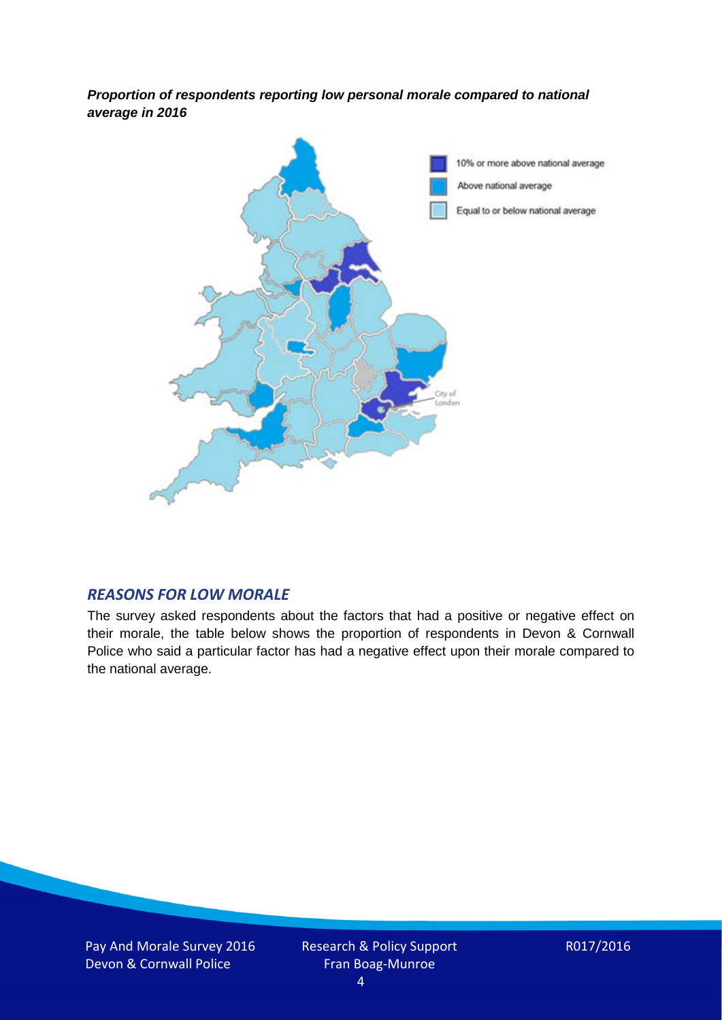*Proportion of respondents reporting low personal morale compared to national average in 2016*



#### *REASONS FOR LOW MORALE*

The survey asked respondents about the factors that had a positive or negative effect on their morale, the table below shows the proportion of respondents in Devon & Cornwall Police who said a particular factor has had a negative effect upon their morale compared to the national average.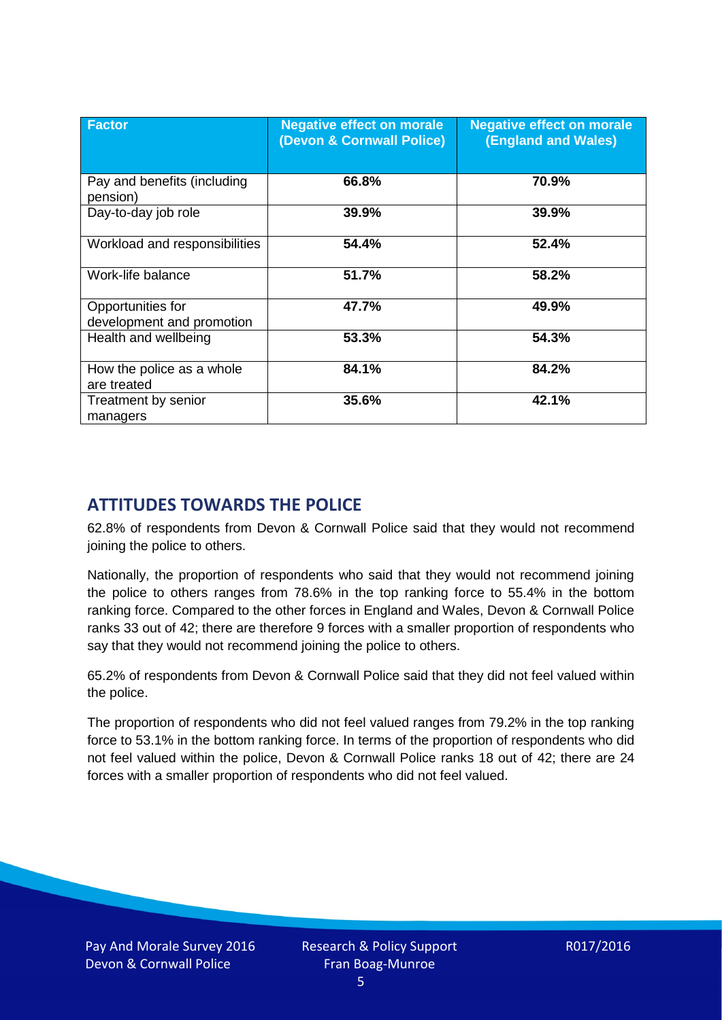| <b>Factor</b>                                  | <b>Negative effect on morale</b><br>(Devon & Cornwall Police) | <b>Negative effect on morale</b><br><b>(England and Wales)</b> |
|------------------------------------------------|---------------------------------------------------------------|----------------------------------------------------------------|
| Pay and benefits (including<br>pension)        | 66.8%                                                         | 70.9%                                                          |
| Day-to-day job role                            | 39.9%                                                         | 39.9%                                                          |
| Workload and responsibilities                  | 54.4%                                                         | 52.4%                                                          |
| Work-life balance                              | 51.7%                                                         | 58.2%                                                          |
| Opportunities for<br>development and promotion | 47.7%                                                         | 49.9%                                                          |
| Health and wellbeing                           | 53.3%                                                         | 54.3%                                                          |
| How the police as a whole<br>are treated       | 84.1%                                                         | 84.2%                                                          |
| Treatment by senior<br>managers                | 35.6%                                                         | 42.1%                                                          |

# **ATTITUDES TOWARDS THE POLICE**

62.8% of respondents from Devon & Cornwall Police said that they would not recommend joining the police to others.

Nationally, the proportion of respondents who said that they would not recommend joining the police to others ranges from 78.6% in the top ranking force to 55.4% in the bottom ranking force. Compared to the other forces in England and Wales, Devon & Cornwall Police ranks 33 out of 42; there are therefore 9 forces with a smaller proportion of respondents who say that they would not recommend joining the police to others.

65.2% of respondents from Devon & Cornwall Police said that they did not feel valued within the police.

The proportion of respondents who did not feel valued ranges from 79.2% in the top ranking force to 53.1% in the bottom ranking force. In terms of the proportion of respondents who did not feel valued within the police, Devon & Cornwall Police ranks 18 out of 42; there are 24 forces with a smaller proportion of respondents who did not feel valued.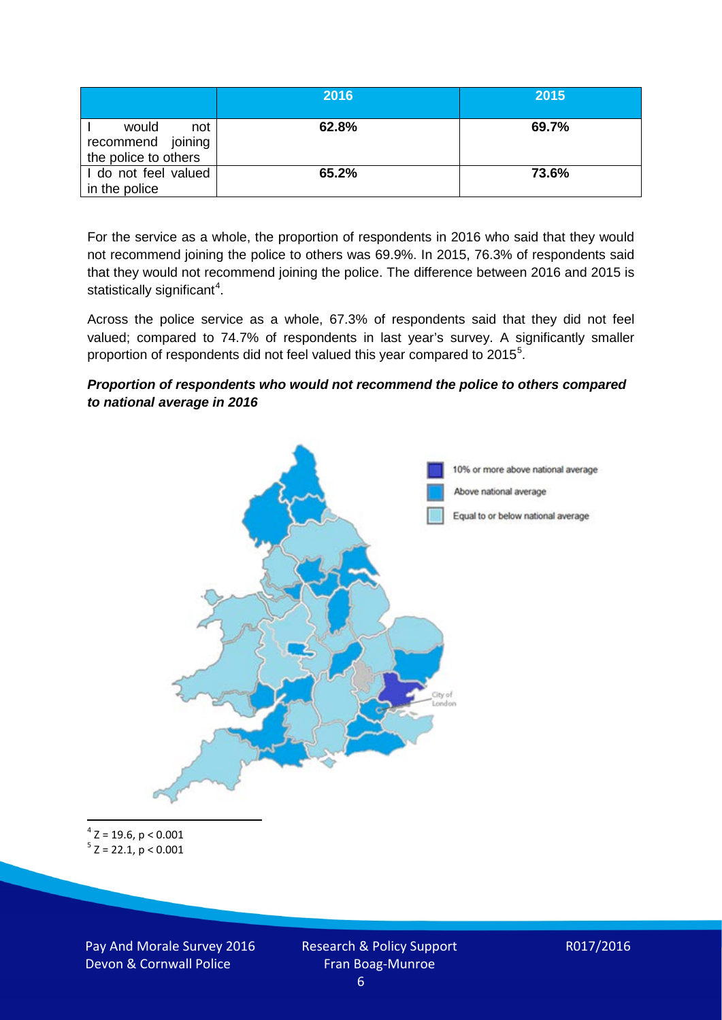|                                                           | 2016  | 2015  |
|-----------------------------------------------------------|-------|-------|
| would<br>not<br>recommend joining<br>the police to others | 62.8% | 69.7% |
| I do not feel valued<br>in the police                     | 65.2% | 73.6% |

For the service as a whole, the proportion of respondents in 2016 who said that they would not recommend joining the police to others was 69.9%. In 2015, 76.3% of respondents said that they would not recommend joining the police. The difference between 2016 and 2015 is statistically significant<sup>[4](#page-5-0)</sup>.

Across the police service as a whole, 67.3% of respondents said that they did not feel valued; compared to 74.7% of respondents in last year's survey. A significantly smaller proportion of respondents did not feel valued this year compared to 201[5](#page-5-1)<sup>5</sup>.

#### *Proportion of respondents who would not recommend the police to others compared to national average in 2016*



<span id="page-5-1"></span><span id="page-5-0"></span> $4$  Z = 19.6, p < 0.001  $5$  Z = 22.1, p < 0.001

Pay And Morale Survey 2016 Devon & Cornwall Police

Research & Policy Support Fran Boag-Munroe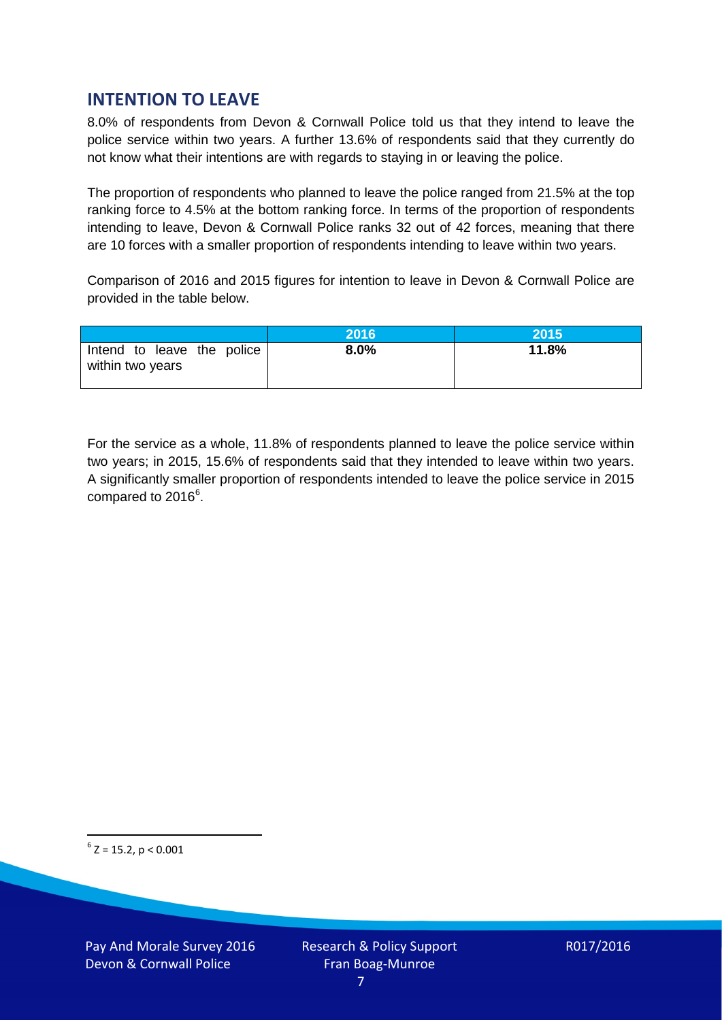## **INTENTION TO LEAVE**

8.0% of respondents from Devon & Cornwall Police told us that they intend to leave the police service within two years. A further 13.6% of respondents said that they currently do not know what their intentions are with regards to staying in or leaving the police.

The proportion of respondents who planned to leave the police ranged from 21.5% at the top ranking force to 4.5% at the bottom ranking force. In terms of the proportion of respondents intending to leave, Devon & Cornwall Police ranks 32 out of 42 forces, meaning that there are 10 forces with a smaller proportion of respondents intending to leave within two years.

Comparison of 2016 and 2015 figures for intention to leave in Devon & Cornwall Police are provided in the table below.

|                                                | 2016 | 2015  |
|------------------------------------------------|------|-------|
| Intend to leave the police<br>within two years | 8.0% | 11.8% |

For the service as a whole, 11.8% of respondents planned to leave the police service within two years; in 2015, 15.6% of respondents said that they intended to leave within two years. A significantly smaller proportion of respondents intended to leave the police service in 2015 compared to 201[6](#page-6-0)<sup>6</sup>.

<span id="page-6-0"></span> $6$  Z = 15.2, p < 0.001

Pay And Morale Survey 2016 Devon & Cornwall Police

Research & Policy Support Fran Boag-Munroe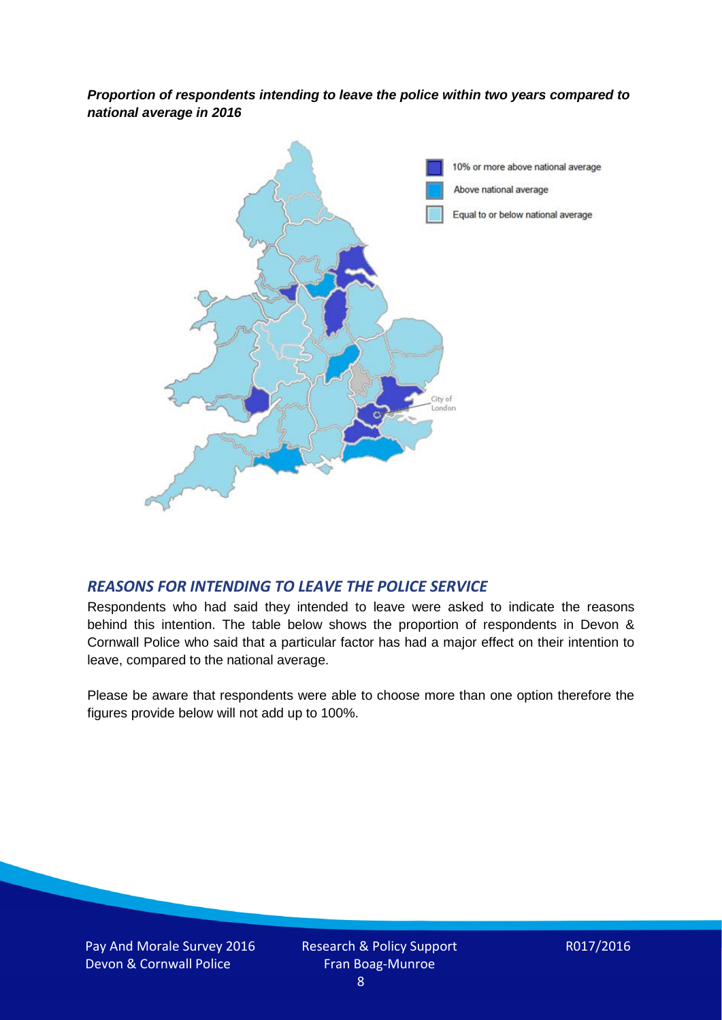*Proportion of respondents intending to leave the police within two years compared to national average in 2016*



### *REASONS FOR INTENDING TO LEAVE THE POLICE SERVICE*

Respondents who had said they intended to leave were asked to indicate the reasons behind this intention. The table below shows the proportion of respondents in Devon & Cornwall Police who said that a particular factor has had a major effect on their intention to leave, compared to the national average.

Please be aware that respondents were able to choose more than one option therefore the figures provide below will not add up to 100%.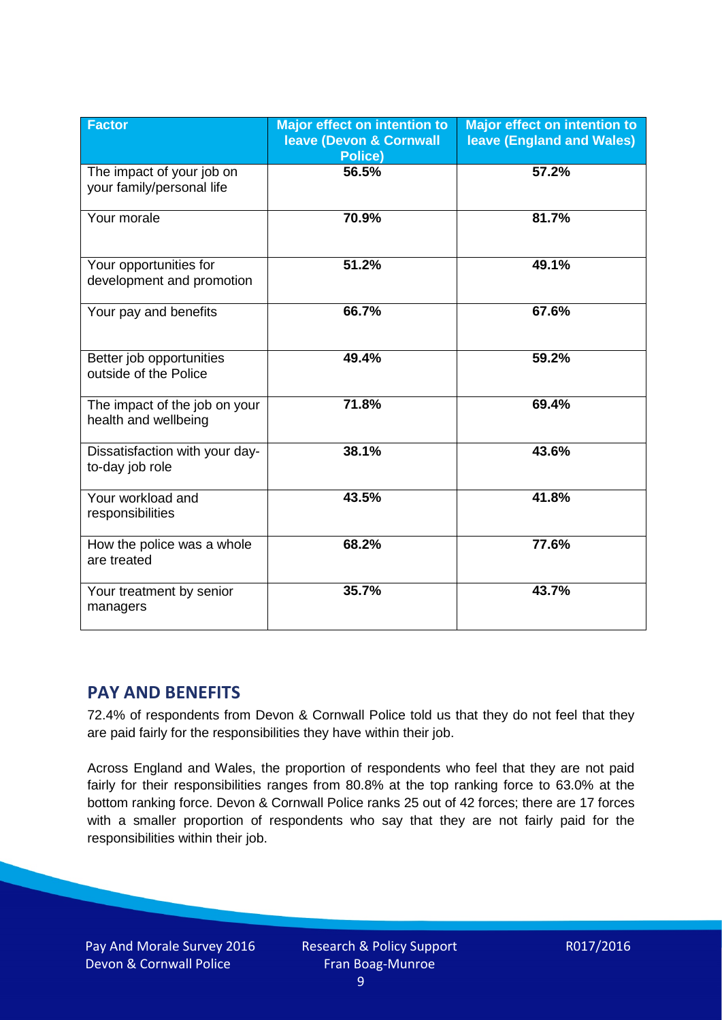| <b>Factor</b>                                          | <b>Major effect on intention to</b><br><b>leave (Devon &amp; Cornwall</b><br><b>Police)</b> | <b>Major effect on intention to</b><br><b>leave (England and Wales)</b> |
|--------------------------------------------------------|---------------------------------------------------------------------------------------------|-------------------------------------------------------------------------|
| The impact of your job on<br>your family/personal life | 56.5%                                                                                       | 57.2%                                                                   |
| Your morale                                            | 70.9%                                                                                       | 81.7%                                                                   |
| Your opportunities for<br>development and promotion    | 51.2%                                                                                       | 49.1%                                                                   |
| Your pay and benefits                                  | 66.7%                                                                                       | 67.6%                                                                   |
| Better job opportunities<br>outside of the Police      | 49.4%                                                                                       | 59.2%                                                                   |
| The impact of the job on your<br>health and wellbeing  | 71.8%                                                                                       | 69.4%                                                                   |
| Dissatisfaction with your day-<br>to-day job role      | 38.1%                                                                                       | 43.6%                                                                   |
| Your workload and<br>responsibilities                  | 43.5%                                                                                       | 41.8%                                                                   |
| How the police was a whole<br>are treated              | 68.2%                                                                                       | 77.6%                                                                   |
| Your treatment by senior<br>managers                   | 35.7%                                                                                       | 43.7%                                                                   |

# **PAY AND BENEFITS**

72.4% of respondents from Devon & Cornwall Police told us that they do not feel that they are paid fairly for the responsibilities they have within their job.

Across England and Wales, the proportion of respondents who feel that they are not paid fairly for their responsibilities ranges from 80.8% at the top ranking force to 63.0% at the bottom ranking force. Devon & Cornwall Police ranks 25 out of 42 forces; there are 17 forces with a smaller proportion of respondents who say that they are not fairly paid for the responsibilities within their job.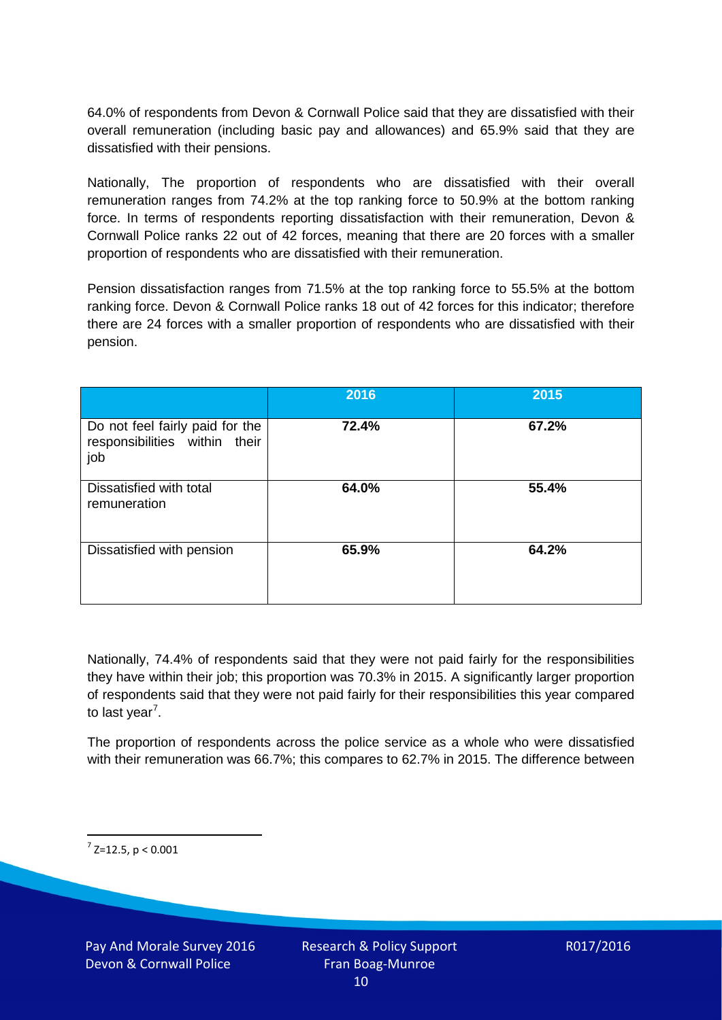64.0% of respondents from Devon & Cornwall Police said that they are dissatisfied with their overall remuneration (including basic pay and allowances) and 65.9% said that they are dissatisfied with their pensions.

Nationally, The proportion of respondents who are dissatisfied with their overall remuneration ranges from 74.2% at the top ranking force to 50.9% at the bottom ranking force. In terms of respondents reporting dissatisfaction with their remuneration, Devon & Cornwall Police ranks 22 out of 42 forces, meaning that there are 20 forces with a smaller proportion of respondents who are dissatisfied with their remuneration.

Pension dissatisfaction ranges from 71.5% at the top ranking force to 55.5% at the bottom ranking force. Devon & Cornwall Police ranks 18 out of 42 forces for this indicator; therefore there are 24 forces with a smaller proportion of respondents who are dissatisfied with their pension.

|                                                                         | 2016  | 2015  |
|-------------------------------------------------------------------------|-------|-------|
| Do not feel fairly paid for the<br>responsibilities within their<br>job | 72.4% | 67.2% |
| Dissatisfied with total<br>remuneration                                 | 64.0% | 55.4% |
| Dissatisfied with pension                                               | 65.9% | 64.2% |

Nationally, 74.4% of respondents said that they were not paid fairly for the responsibilities they have within their job; this proportion was 70.3% in 2015. A significantly larger proportion of respondents said that they were not paid fairly for their responsibilities this year compared to last year<sup>[7](#page-9-0)</sup>.

The proportion of respondents across the police service as a whole who were dissatisfied with their remuneration was 66.7%; this compares to 62.7% in 2015. The difference between

<span id="page-9-0"></span> $7$  Z=12.5, p < 0.001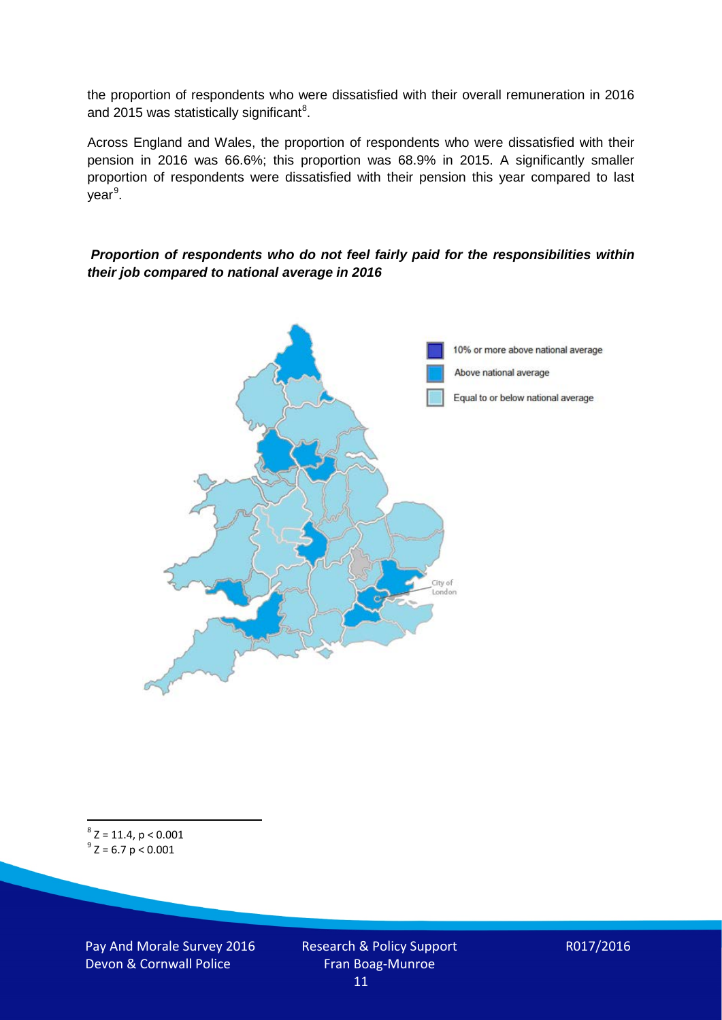the proportion of respondents who were dissatisfied with their overall remuneration in 2016 and 2015 was statistically significant<sup>[8](#page-10-0)</sup>.

Across England and Wales, the proportion of respondents who were dissatisfied with their pension in 2016 was 66.6%; this proportion was 68.9% in 2015. A significantly smaller proportion of respondents were dissatisfied with their pension this year compared to last year<sup>[9](#page-10-1)</sup>.

#### *Proportion of respondents who do not feel fairly paid for the responsibilities within their job compared to national average in 2016*



<span id="page-10-1"></span><span id="page-10-0"></span> $8$  Z = 11.4, p < 0.001  $^{9}$  Z = 6.7 p < 0.001

Pay And Morale Survey 2016 Devon & Cornwall Police

Research & Policy Support Fran Boag-Munroe 11

R017/2016